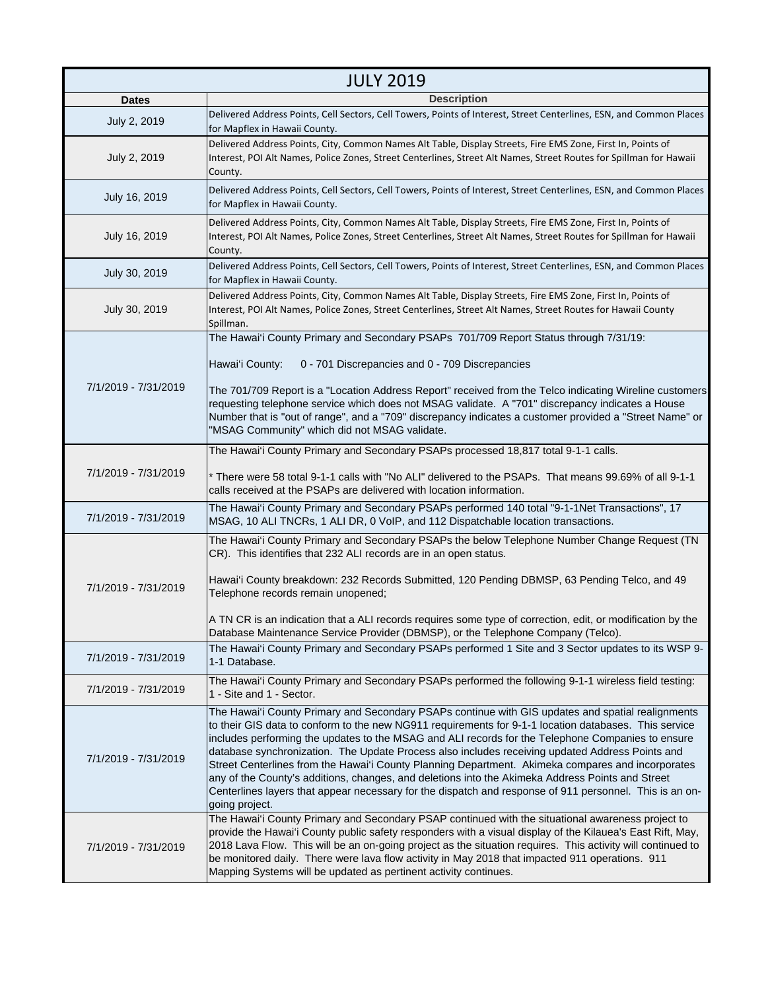| <b>JULY 2019</b>     |                                                                                                                                                                                                                                                                                                                                                                                                                                                                                                                                                                                                                                                                                                                                                          |
|----------------------|----------------------------------------------------------------------------------------------------------------------------------------------------------------------------------------------------------------------------------------------------------------------------------------------------------------------------------------------------------------------------------------------------------------------------------------------------------------------------------------------------------------------------------------------------------------------------------------------------------------------------------------------------------------------------------------------------------------------------------------------------------|
| <b>Dates</b>         | <b>Description</b>                                                                                                                                                                                                                                                                                                                                                                                                                                                                                                                                                                                                                                                                                                                                       |
| July 2, 2019         | Delivered Address Points, Cell Sectors, Cell Towers, Points of Interest, Street Centerlines, ESN, and Common Places<br>for Mapflex in Hawaii County.                                                                                                                                                                                                                                                                                                                                                                                                                                                                                                                                                                                                     |
| July 2, 2019         | Delivered Address Points, City, Common Names Alt Table, Display Streets, Fire EMS Zone, First In, Points of<br>Interest, POI Alt Names, Police Zones, Street Centerlines, Street Alt Names, Street Routes for Spillman for Hawaii<br>County.                                                                                                                                                                                                                                                                                                                                                                                                                                                                                                             |
| July 16, 2019        | Delivered Address Points, Cell Sectors, Cell Towers, Points of Interest, Street Centerlines, ESN, and Common Places<br>for Mapflex in Hawaii County.                                                                                                                                                                                                                                                                                                                                                                                                                                                                                                                                                                                                     |
| July 16, 2019        | Delivered Address Points, City, Common Names Alt Table, Display Streets, Fire EMS Zone, First In, Points of<br>Interest, POI Alt Names, Police Zones, Street Centerlines, Street Alt Names, Street Routes for Spillman for Hawaii<br>County.                                                                                                                                                                                                                                                                                                                                                                                                                                                                                                             |
| July 30, 2019        | Delivered Address Points, Cell Sectors, Cell Towers, Points of Interest, Street Centerlines, ESN, and Common Places<br>for Mapflex in Hawaii County.                                                                                                                                                                                                                                                                                                                                                                                                                                                                                                                                                                                                     |
| July 30, 2019        | Delivered Address Points, City, Common Names Alt Table, Display Streets, Fire EMS Zone, First In, Points of<br>Interest, POI Alt Names, Police Zones, Street Centerlines, Street Alt Names, Street Routes for Hawaii County<br>Spillman.                                                                                                                                                                                                                                                                                                                                                                                                                                                                                                                 |
| 7/1/2019 - 7/31/2019 | The Hawai'i County Primary and Secondary PSAPs 701/709 Report Status through 7/31/19:<br>Hawai'i County:<br>0 - 701 Discrepancies and 0 - 709 Discrepancies<br>The 701/709 Report is a "Location Address Report" received from the Telco indicating Wireline customers<br>requesting telephone service which does not MSAG validate. A "701" discrepancy indicates a House<br>Number that is "out of range", and a "709" discrepancy indicates a customer provided a "Street Name" or<br>"MSAG Community" which did not MSAG validate.                                                                                                                                                                                                                   |
| 7/1/2019 - 7/31/2019 | The Hawai'i County Primary and Secondary PSAPs processed 18,817 total 9-1-1 calls.<br>* There were 58 total 9-1-1 calls with "No ALI" delivered to the PSAPs. That means 99.69% of all 9-1-1<br>calls received at the PSAPs are delivered with location information.                                                                                                                                                                                                                                                                                                                                                                                                                                                                                     |
| 7/1/2019 - 7/31/2019 | The Hawai'i County Primary and Secondary PSAPs performed 140 total "9-1-1Net Transactions", 17<br>MSAG, 10 ALI TNCRs, 1 ALI DR, 0 VoIP, and 112 Dispatchable location transactions.                                                                                                                                                                                                                                                                                                                                                                                                                                                                                                                                                                      |
| 7/1/2019 - 7/31/2019 | The Hawai'i County Primary and Secondary PSAPs the below Telephone Number Change Request (TN<br>CR). This identifies that 232 ALI records are in an open status.<br>Hawai'i County breakdown: 232 Records Submitted, 120 Pending DBMSP, 63 Pending Telco, and 49<br>Telephone records remain unopened;<br>A TN CR is an indication that a ALI records requires some type of correction, edit, or modification by the<br>Database Maintenance Service Provider (DBMSP), or the Telephone Company (Telco).                                                                                                                                                                                                                                                 |
| 7/1/2019 - 7/31/2019 | The Hawai'i County Primary and Secondary PSAPs performed 1 Site and 3 Sector updates to its WSP 9-<br>1-1 Database.                                                                                                                                                                                                                                                                                                                                                                                                                                                                                                                                                                                                                                      |
| 7/1/2019 - 7/31/2019 | The Hawai'i County Primary and Secondary PSAPs performed the following 9-1-1 wireless field testing:<br>1 - Site and 1 - Sector.                                                                                                                                                                                                                                                                                                                                                                                                                                                                                                                                                                                                                         |
| 7/1/2019 - 7/31/2019 | The Hawai'i County Primary and Secondary PSAPs continue with GIS updates and spatial realignments<br>to their GIS data to conform to the new NG911 requirements for 9-1-1 location databases. This service<br>includes performing the updates to the MSAG and ALI records for the Telephone Companies to ensure<br>database synchronization. The Update Process also includes receiving updated Address Points and<br>Street Centerlines from the Hawai'i County Planning Department. Akimeka compares and incorporates<br>any of the County's additions, changes, and deletions into the Akimeka Address Points and Street<br>Centerlines layers that appear necessary for the dispatch and response of 911 personnel. This is an on-<br>going project. |
| 7/1/2019 - 7/31/2019 | The Hawai'i County Primary and Secondary PSAP continued with the situational awareness project to<br>provide the Hawai'i County public safety responders with a visual display of the Kilauea's East Rift, May,<br>2018 Lava Flow. This will be an on-going project as the situation requires. This activity will continued to<br>be monitored daily. There were lava flow activity in May 2018 that impacted 911 operations. 911<br>Mapping Systems will be updated as pertinent activity continues.                                                                                                                                                                                                                                                    |